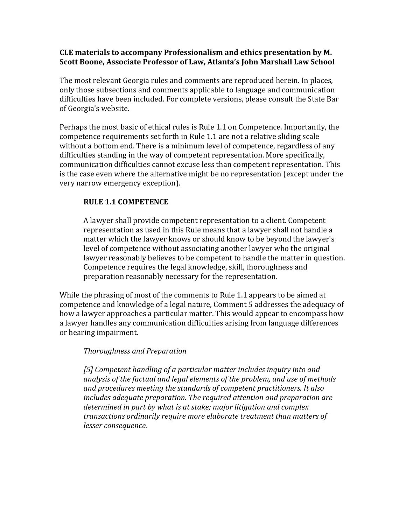# **CLE** materials to accompany Professionalism and ethics presentation by M. **Scott Boone, Associate Professor of Law, Atlanta's John Marshall Law School**

The most relevant Georgia rules and comments are reproduced herein. In places, only those subsections and comments applicable to language and communication difficulties have been included. For complete versions, please consult the State Bar of Georgia's website.

Perhaps the most basic of ethical rules is Rule 1.1 on Competence. Importantly, the competence requirements set forth in Rule 1.1 are not a relative sliding scale without a bottom end. There is a minimum level of competence, regardless of any difficulties standing in the way of competent representation. More specifically, communication difficulties cannot excuse less than competent representation. This is the case even where the alternative might be no representation (except under the very narrow emergency exception).

# **RULE 1.1 COMPETENCE**

A lawyer shall provide competent representation to a client. Competent representation as used in this Rule means that a lawyer shall not handle a matter which the lawyer knows or should know to be beyond the lawyer's level of competence without associating another lawyer who the original lawyer reasonably believes to be competent to handle the matter in question. Competence requires the legal knowledge, skill, thoroughness and preparation reasonably necessary for the representation.

While the phrasing of most of the comments to Rule 1.1 appears to be aimed at competence and knowledge of a legal nature, Comment 5 addresses the adequacy of how a lawyer approaches a particular matter. This would appear to encompass how a lawyer handles any communication difficulties arising from language differences or hearing impairment.

# *Thoroughness and Preparation*

[5] Competent handling of a particular matter includes inquiry into and analysis of the factual and legal elements of the problem, and use of methods and procedures meeting the standards of competent practitioners. It also *includes adequate preparation. The required attention and preparation are* determined in part by what is at stake; major litigation and complex *transactions ordinarily require more elaborate treatment than matters of lesser consequence.*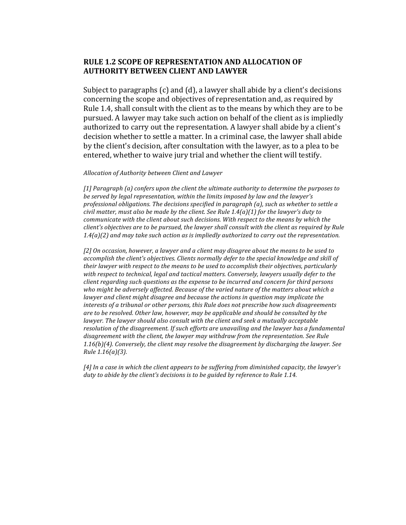## **RULE 1.2 SCOPE OF REPRESENTATION AND ALLOCATION OF AUTHORITY BETWEEN CLIENT AND LAWYER**

Subject to paragraphs  $(c)$  and  $(d)$ , a lawyer shall abide by a client's decisions concerning the scope and objectives of representation and, as required by Rule 1.4, shall consult with the client as to the means by which they are to be pursued. A lawyer may take such action on behalf of the client as is impliedly authorized to carry out the representation. A lawyer shall abide by a client's decision whether to settle a matter. In a criminal case, the lawyer shall abide by the client's decision, after consultation with the lawyer, as to a plea to be entered, whether to waive jury trial and whether the client will testify.

### *Allocation of Authority between Client and Lawyer*

[1] Paragraph (a) confers upon the client the ultimate authority to determine the purposes to be served by legal representation, within the limits imposed by law and the lawyer's *professional obligations. The decisions specified in paragraph (a), such as whether to settle a civil matter, must also be made by the client. See Rule*  $1.4(a)(1)$  for the lawyer's duty to *communicate with the client about such decisions. With respect to the means by which the client's* objectives are to be pursued, the lawyer shall consult with the client as required by Rule 1.4(a)(2) and may take such action as is impliedly authorized to carry out the representation.

[2] On occasion, however, a lawyer and a client may disagree about the means to be used to accomplish the client's objectives. Clients normally defer to the special knowledge and skill of their lawyer with respect to the means to be used to accomplish their objectives, particularly with respect to technical, legal and tactical matters. Conversely, lawyers usually defer to the *client regarding such questions as the expense to be incurred and concern for third persons* who might be adversely affected. Because of the varied nature of the matters about which a *lawyer and client might disagree and because the actions in question may implicate the interests of a tribunal or other persons, this Rule does not prescribe how such disagreements* are to be resolved. Other law, however, may be applicable and should be consulted by the *lawyer.* The lawyer should also consult with the client and seek a mutually acceptable resolution of the disagreement. If such efforts are unavailing and the lawyer has a fundamental disagreement with the client, the lawyer may withdraw from the representation. See Rule 1.16(b)(4). Conversely, the client may resolve the disagreement by discharging the lawyer. See *Rule 1.16(a)(3).*

[4] In a case in which the client appears to be suffering from diminished capacity, the lawyer's *duty* to abide by the client's decisions is to be guided by reference to Rule 1.14.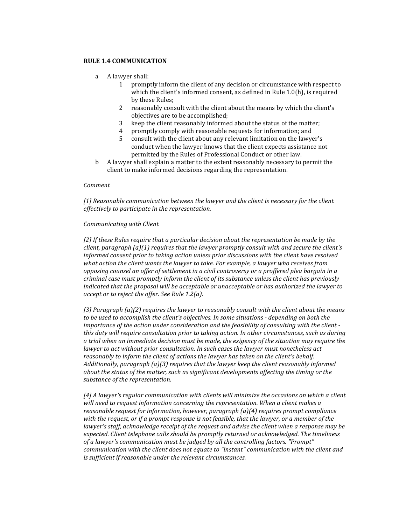### **RULE 1.4 COMMUNICATION**

- a A lawyer shall:
	- 1 promptly inform the client of any decision or circumstance with respect to which the client's informed consent, as defined in Rule  $1.0(h)$ , is required by these Rules:
	- 2 reasonably consult with the client about the means by which the client's objectives are to be accomplished:
	- 3 keep the client reasonably informed about the status of the matter;
	- promptly comply with reasonable requests for information; and
	- 5 consult with the client about any relevant limitation on the lawyer's conduct when the lawyer knows that the client expects assistance not permitted by the Rules of Professional Conduct or other law.
- b A lawyer shall explain a matter to the extent reasonably necessary to permit the client to make informed decisions regarding the representation.

### *Comment*

[1] Reasonable communication between the lawyer and the client is necessary for the client *effectively to participate in the representation.* 

#### *Communicating with Client*

[2] If these Rules require that a particular decision about the representation be made by the *client, paragraph*  $(a)(1)$  *requires that the lawyer promptly consult with and secure the client's informed consent prior to taking action unless prior discussions with the client have resolved* what action the client wants the lawyer to take. For example, a lawyer who receives from *opposing counsel an offer of settlement in a civil controversy or a proffered plea bargain in a criminal case must promptly inform the client of its substance unless the client has previously indicated that the proposal will be acceptable or unacceptable or has authorized the lawyer to accept or to reject the offer. See Rule 1.2(a).* 

[3] Paragraph (a)(2) requires the lawyer to reasonably consult with the client about the means to be used to accomplish the client's objectives. In some situations - depending on both the *importance of the action under consideration and the feasibility of consulting with the client this duty will require consultation prior to taking action. In other circumstances, such as during* a trial when an immediate decision must be made, the exigency of the situation may require the *lawyer to act without prior consultation. In such cases the lawyer must nonetheless act reasonably to inform the client of actions the lawyer has taken on the client's behalf. Additionally, paragraph* (a)(3) requires that the lawyer keep the client reasonably informed about the status of the matter, such as significant developments affecting the timing or the *substance of the representation.*

[4] A lawyer's regular communication with clients will minimize the occasions on which a client will need to request information concerning the representation. When a client makes a *reasonable request for information, however, paragraph (a)(4) requires prompt compliance* with the request, or if a prompt response is not feasible, that the lawyer, or a member of the *lawyer's* staff, acknowledge receipt of the request and advise the client when a response may be expected. Client telephone calls should be promptly returned or acknowledged. The timeliness of a lawyer's communication must be judged by all the controlling factors. "Prompt" *communication* with the client does not equate to "instant" communication with the client and is sufficient if reasonable under the relevant circumstances.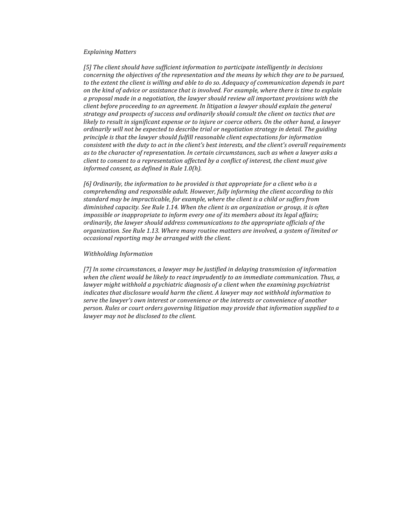#### *Explaining Matters*

[5] The client should have sufficient information to participate intelligently in decisions *concerning the objectives of the representation and the means by which they are to be pursued,* to the extent the client is willing and able to do so. Adequacy of communication depends in part *on* the kind of advice or assistance that is involved. For example, where there is time to explain *a* proposal made in a negotiation, the lawyer should review all important provisions with the *client before proceeding to an agreement. In litigation a lawyer should explain the general* strategy and prospects of success and ordinarily should consult the client on tactics that are *likely to result in significant expense or to injure or coerce others. On the other hand, a lawyer ordinarily* will not be expected to describe trial or negotiation strategy in detail. The guiding principle is that the lawyer should fulfill reasonable client expectations for information *consistent* with the duty to act in the client's best interests, and the client's overall requirements as to the character of representation. In certain circumstances, such as when a lawyer asks a *client* to consent to a representation affected by a conflict of interest, the client must give *informed consent, as defined in Rule 1.0(h).* 

[6] Ordinarily, the information to be provided is that appropriate for a client who is a *comprehending and responsible adult. However, fully informing the client according to this* standard may be impracticable, for example, where the client is a child or suffers from diminished capacity. See Rule 1.14. When the client is an organization or group, it is often *impossible or inappropriate to inform every one of its members about its legal affairs;* ordinarily, the lawyer should address communications to the appropriate officials of the organization. See Rule 1.13. Where many routine matters are involved, a system of limited or *occasional reporting may be arranged with the client.*

#### *Withholding Information*

[7] In some circumstances, a lawyer may be justified in delaying transmission of information when the client would be likely to react imprudently to an immediate communication. Thus, a *lawyer* might withhold a psychiatric diagnosis of a client when the examining psychiatrist *indicates that disclosure would harm the client. A lawyer may not withhold information to serve the lawyer's own interest or convenience or the interests or convenience of another* person. Rules or court orders governing litigation may provide that information supplied to a *lawyer* may not be disclosed to the client.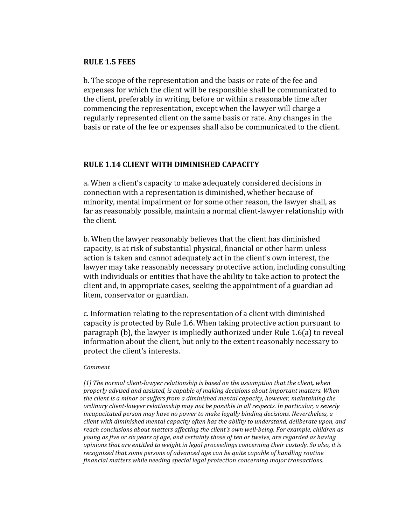## **RULE 1.5 FEES**

b. The scope of the representation and the basis or rate of the fee and expenses for which the client will be responsible shall be communicated to the client, preferably in writing, before or within a reasonable time after commencing the representation, except when the lawyer will charge a regularly represented client on the same basis or rate. Any changes in the basis or rate of the fee or expenses shall also be communicated to the client.

## **RULE 1.14 CLIENT WITH DIMINISHED CAPACITY**

a. When a client's capacity to make adequately considered decisions in connection with a representation is diminished, whether because of minority, mental impairment or for some other reason, the lawyer shall, as far as reasonably possible, maintain a normal client-lawyer relationship with the client.

b. When the lawyer reasonably believes that the client has diminished capacity, is at risk of substantial physical, financial or other harm unless action is taken and cannot adequately act in the client's own interest, the lawyer may take reasonably necessary protective action, including consulting with individuals or entities that have the ability to take action to protect the client and, in appropriate cases, seeking the appointment of a guardian ad litem, conservator or guardian.

c. Information relating to the representation of a client with diminished capacity is protected by Rule 1.6. When taking protective action pursuant to paragraph  $(b)$ , the lawyer is impliedly authorized under Rule 1.6(a) to reveal information about the client, but only to the extent reasonably necessary to protect the client's interests.

### *Comment*

[1] The normal client-lawyer relationship is based on the assumption that the client, when *properly advised and assisted, is capable of making decisions about important matters. When* the client is a minor or suffers from a diminished mental capacity, however, maintaining the *ordinary client-lawyer relationship may not be possible in all respects. In particular, a severly incapacitated person may have no power to make legally binding decisions. Nevertheless, a client* with diminished mental capacity often has the ability to understand, deliberate upon, and reach conclusions about matters affecting the client's own well-being. For example, children as *young as five or six years of age, and certainly those of ten or twelve, are regarded as having* opinions that are entitled to weight in legal proceedings concerning their custody. So also, it is *recognized that some persons of advanced age can be quite capable of handling routine financial matters while needing special legal protection concerning major transactions.*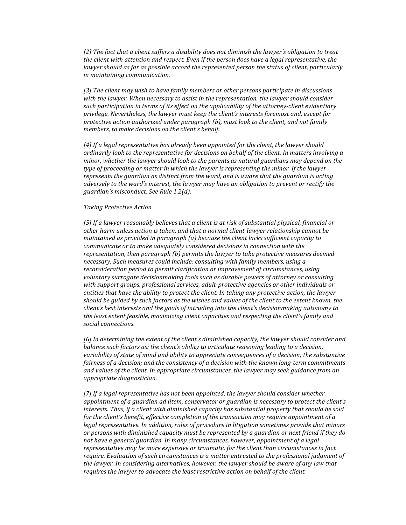[2] The fact that a client suffers a disability does not diminish the lawyer's obligation to treat the client with attention and respect. Even if the person does have a legal representative, the *lawyer should as far as possible accord the represented person the status of client, particularly in maintaining communication.*

[3] The client may wish to have family members or other persons participate in discussions with the lawyer. When necessary to assist in the representation, the lawyer should consider such participation in terms of its effect on the applicability of the attorney-client evidentiary privilege. Nevertheless, the lawyer must keep the client's interests foremost and, except for *protective action authorized under paragraph* (b), must look to the client, and not family members, to make decisions on the client's behalf.

[4] If a legal representative has already been appointed for the client, the lawyer should *ordinarily look to the representative for decisions on behalf of the client. In matters involving a minor,* whether the lawyer should look to the parents as natural guardians may depend on the *type of proceeding or matter in which the lawyer is representing the minor. If the lawyer represents* the guardian as distinct from the ward, and is aware that the guardian is acting *adversely to the ward's interest, the lawyer may have an obligation to prevent or rectify the guardian's misconduct. See Rule 1.2(d).* 

### *Taking Protective Action*

[5] If a lawyer reasonably believes that a client is at risk of substantial physical, financial or *other harm unless action is taken, and that a normal client-lawyer relationship cannot be maintained as provided in paragraph (a) because the client lacks sufficient capacity to communicate or to make adequately considered decisions in connection with the representation, then paragraph (b) permits the lawyer to take protective measures deemed necessary.* Such measures could include: consulting with family members, using a reconsideration period to permit clarification or improvement of circumstances, using voluntary surrogate decisionmaking tools such as durable powers of attorney or consulting with support groups, professional services, adult-protective agencies or other individuals or *entities* that have the ability to protect the client. In taking any protective action, the lawyer should be guided by such factors as the wishes and values of the client to the extent known, the *client's* best interests and the goals of intruding into the client's decisionmaking autonomy to the least extent feasible, maximizing client capacities and respecting the client's family and *social connections.*

[6] In determining the extent of the client's diminished capacity, the lawyer should consider and balance such factors as: the client's ability to articulate reasoning leading to a decision, variability of state of mind and ability to appreciate consequences of a decision; the substantive fairness of a decision; and the consistency of a decision with the known long-term commitments and values of the client. In appropriate circumstances, the lawyer may seek guidance from an *appropriate diagnostician.*

[7] If a legal representative has not been appointed, the lawyer should consider whether *appointment* of a guardian ad litem, conservator or guardian is necessary to protect the client's *interests.* Thus, if a client with diminished capacity has substantial property that should be sold *for* the client's benefit, effective completion of the transaction may require appointment of a *legal representative. In addition, rules of procedure in litigation sometimes provide that minors* or persons with diminished capacity must be represented by a guardian or next friend if they do not have a general guardian. In many circumstances, however, appointment of a legal *representative* may be more expensive or traumatic for the client than circumstances in fact *require.* Evaluation of such circumstances is a matter entrusted to the professional judgment of *the lawyer. In considering alternatives, however, the lawyer should be aware of any law that* requires the lawyer to advocate the least restrictive action on behalf of the client.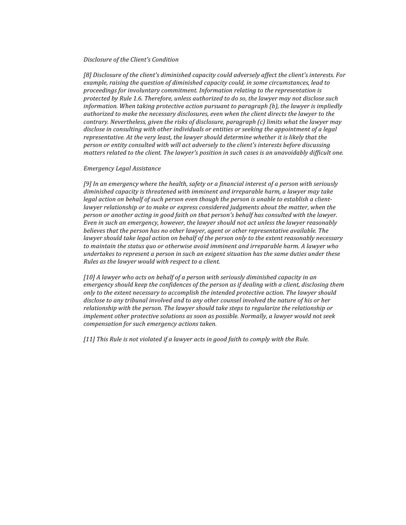#### *Disclosure of the Client's Condition*

[8] Disclosure of the client's diminished capacity could adversely affect the client's interests. For example, raising the question of diminished capacity could, in some circumstances, lead to proceedings for involuntary commitment. Information relating to the representation is protected by Rule 1.6. Therefore, unless authorized to do so, the lawyer may not disclose such *information.* When taking protective action pursuant to paragraph (b), the lawyer is impliedly authorized to make the necessary disclosures, even when the client directs the lawyer to the *contrary.* Nevertheless, given the risks of disclosure, paragraph (c) limits what the lawyer may disclose in consulting with other individuals or entities or seeking the appointment of a legal *representative. At the very least, the lawyer should determine whether it is likely that the* person or entity consulted with will act adversely to the client's interests before discussing *matters related to the client. The lawyer's position in such cases is an unavoidably difficult one.* 

#### *Emergency Legal Assistance*

[9] In an emergency where the health, safety or a financial interest of a person with seriously *diminished capacity is threatened with imminent and irreparable harm, a lawyer may take* legal action on behalf of such person even though the person is unable to establish a client*lawyer relationship or to make or express considered judgments about the matter, when the person or another acting in good faith on that person's behalf has consulted with the lawyer.* Even in such an emergency, however, the lawyer should not act unless the lawyer reasonably *believes* that the person has no other lawyer, agent or other representative available. The *lawyer should take legal action on behalf of the person only to the extent reasonably necessary* to maintain the status quo or otherwise avoid imminent and irreparable harm. A lawyer who *undertakes to represent a person in such an exigent situation has the same duties under these Rules as the lawyer would with respect to a client.* 

[10] A lawyer who acts on behalf of a person with seriously diminished capacity in an *emergency* should keep the confidences of the person as if dealing with a client, disclosing them *only* to the extent necessary to accomplish the intended protective action. The lawyer should *disclose to any tribunal involved and to any other counsel involved the nature of his or her* relationship with the person. The lawyer should take steps to regularize the relationship or *implement other protective solutions as soon as possible. Normally, a lawyer would not seek compensation for such emergency actions taken.*

[11] This Rule is not violated if a lawyer acts in good faith to comply with the Rule.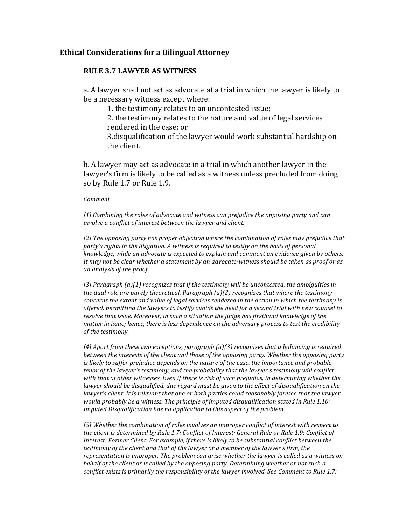## **Ethical Considerations for a Bilingual Attorney**

## **RULE 3.7 LAWYER AS WITNESS**

a. A lawyer shall not act as advocate at a trial in which the lawyer is likely to be a necessary witness except where:

1. the testimony relates to an uncontested issue;

2. the testimony relates to the nature and value of legal services rendered in the case; or

3. disqualification of the lawyer would work substantial hardship on the client.

b. A lawyer may act as advocate in a trial in which another lawyer in the lawyer's firm is likely to be called as a witness unless precluded from doing so by Rule 1.7 or Rule 1.9.

### *Comment*

[1] Combining the roles of advocate and witness can prejudice the opposing party and can *involve a conflict of interest between the lawyer and client.* 

[2] The opposing party has proper objection where the combination of roles may prejudice that party's rights in the litigation. A witness is required to testify on the basis of personal *knowledge, while an advocate is expected to explain and comment on evidence given by others.* It may not be clear whether a statement by an advocate-witness should be taken as proof or as *an analysis of the proof.*

[3] Paragraph (a)(1) recognizes that if the testimony will be uncontested, the ambiguities in *the dual role are purely theoretical. Paragraph (a)(2) recognizes that where the testimony concerns* the extent and value of legal services rendered in the action in which the testimony is offered, permitting the lawyers to testify avoids the need for a second trial with new counsel to *resolve* that *issue.* Moreover, in such a situation the judge has firsthand knowledge of the *matter in issue; hence, there is less dependence on the adversary process to test the credibility* of the testimony.

[4] Apart from these two exceptions, paragraph (a)(3) recognizes that a balancing is required *between the interests of the client and those of the opposing party. Whether the opposing party is* likely to suffer prejudice depends on the nature of the case, the importance and probable tenor of the lawyer's testimony, and the probability that the lawyer's testimony will conflict with that of other witnesses. Even if there is risk of such prejudice, in determining whether the *lawyer should be disqualified, due regard must be given to the effect of disqualification on the lawyer's* client. It is relevant that one or both parties could reasonably foresee that the lawyer would probably be a witness. The principle of imputed disqualification stated in Rule 1.10: *Imputed Disqualification has no application to this aspect of the problem.* 

[5] Whether the combination of roles involves an improper conflict of interest with respect to the client is determined by Rule 1.7: Conflict of Interest: General Rule or Rule 1.9: Conflict of *Interest: Former Client. For example, if there is likely to be substantial conflict between the testimony of the client and that of the lawyer or a member of the lawyer's firm, the* representation is improper. The problem can arise whether the lawyer is called as a witness on *behalf* of the client or is called by the opposing party. Determining whether or not such a *conflict exists is primarily the responsibility of the lawyer involved. See Comment to Rule 1.7:*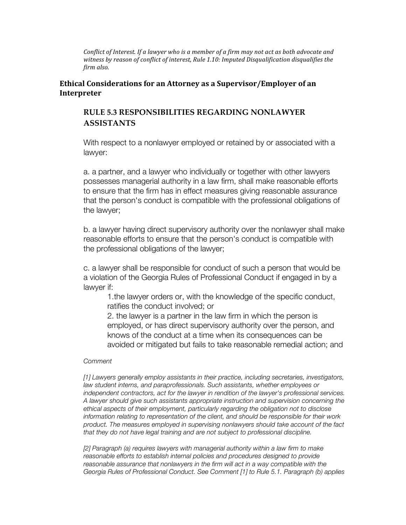*Conflict of Interest. If a lawyer who is a member of a firm may not act as both advocate and* witness by reason of conflict of interest, Rule 1.10: Imputed Disqualification disqualifies the *firm also.*

# **Ethical Considerations for an Attorney as a Supervisor/Employer of an Interpreter**

# **RULE 5.3 RESPONSIBILITIES REGARDING NONLAWYER ASSISTANTS**

With respect to a nonlawyer employed or retained by or associated with a lawyer:

a. a partner, and a lawyer who individually or together with other lawyers possesses managerial authority in a law firm, shall make reasonable efforts to ensure that the firm has in effect measures giving reasonable assurance that the person's conduct is compatible with the professional obligations of the lawyer;

b. a lawyer having direct supervisory authority over the nonlawyer shall make reasonable efforts to ensure that the person's conduct is compatible with the professional obligations of the lawyer;

c. a lawyer shall be responsible for conduct of such a person that would be a violation of the Georgia Rules of Professional Conduct if engaged in by a lawyer if:

1.the lawyer orders or, with the knowledge of the specific conduct, ratifies the conduct involved; or

2. the lawyer is a partner in the law firm in which the person is employed, or has direct supervisory authority over the person, and knows of the conduct at a time when its consequences can be avoided or mitigated but fails to take reasonable remedial action; and

## *Comment*

*[1] Lawyers generally employ assistants in their practice, including secretaries, investigators, law student interns, and paraprofessionals. Such assistants, whether employees or independent contractors, act for the lawyer in rendition of the lawyer's professional services. A lawyer should give such assistants appropriate instruction and supervision concerning the ethical aspects of their employment, particularly regarding the obligation not to disclose information relating to representation of the client, and should be responsible for their work product. The measures employed in supervising nonlawyers should take account of the fact that they do not have legal training and are not subject to professional discipline.*

*[2] Paragraph (a) requires lawyers with managerial authority within a law firm to make reasonable efforts to establish internal policies and procedures designed to provide reasonable assurance that nonlawyers in the firm will act in a way compatible with the Georgia Rules of Professional Conduct. See Comment [1] to Rule 5.1. Paragraph (b) applies*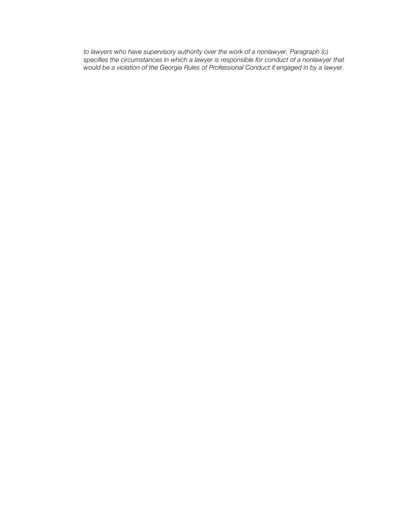*to lawyers who have supervisory authority over the work of a nonlawyer. Paragraph (c) specifies the circumstances in which a lawyer is responsible for conduct of a nonlawyer that would be a violation of the Georgia Rules of Professional Conduct if engaged in by a lawyer.*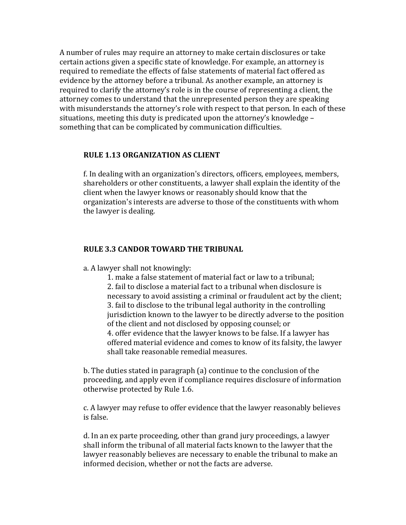A number of rules may require an attorney to make certain disclosures or take certain actions given a specific state of knowledge. For example, an attorney is required to remediate the effects of false statements of material fact offered as evidence by the attorney before a tribunal. As another example, an attorney is required to clarify the attorney's role is in the course of representing a client, the attorney comes to understand that the unrepresented person they are speaking with misunderstands the attorney's role with respect to that person. In each of these situations, meeting this duty is predicated upon the attorney's knowledge something that can be complicated by communication difficulties.

## **RULE 1.13 ORGANIZATION AS CLIENT**

f. In dealing with an organization's directors, officers, employees, members, shareholders or other constituents, a lawyer shall explain the identity of the client when the lawyer knows or reasonably should know that the organization's interests are adverse to those of the constituents with whom the lawyer is dealing.

## **RULE 3.3 CANDOR TOWARD THE TRIBUNAL**

a. A lawyer shall not knowingly:

1. make a false statement of material fact or law to a tribunal; 2. fail to disclose a material fact to a tribunal when disclosure is necessary to avoid assisting a criminal or fraudulent act by the client; 3. fail to disclose to the tribunal legal authority in the controlling jurisdiction known to the lawyer to be directly adverse to the position of the client and not disclosed by opposing counsel; or 4. offer evidence that the lawyer knows to be false. If a lawyer has offered material evidence and comes to know of its falsity, the lawyer shall take reasonable remedial measures.

b. The duties stated in paragraph (a) continue to the conclusion of the proceeding, and apply even if compliance requires disclosure of information otherwise protected by Rule 1.6.

c. A lawyer may refuse to offer evidence that the lawyer reasonably believes is false.

d. In an ex parte proceeding, other than grand jury proceedings, a lawyer shall inform the tribunal of all material facts known to the lawyer that the lawyer reasonably believes are necessary to enable the tribunal to make an informed decision, whether or not the facts are adverse.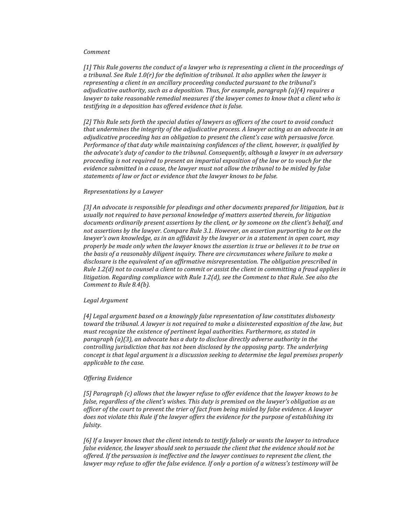### *Comment*

[1] This Rule governs the conduct of a lawyer who is representing a client in the proceedings of *a* tribunal. See Rule 1.0(r) for the definition of tribunal. It also applies when the lawyer is *representing* a client in an ancillary proceeding conducted pursuant to the tribunal's *adjudicative authority, such as a deposition. Thus, for example, paragraph (a)(4) requires a lawyer* to take reasonable remedial measures if the lawyer comes to know that a client who is testifying in a deposition has offered evidence that is false.

[2] This Rule sets forth the special duties of lawyers as officers of the court to avoid conduct *that undermines the integrity of the adjudicative process. A lawyer acting as an advocate in an adjudicative proceeding has an obligation to present the client's case with persuasive force.* Performance of that duty while maintaining confidences of the client, however, is qualified by the advocate's duty of candor to the tribunal. Consequently, although a lawyer in an adversary *proceeding* is not required to present an impartial exposition of the law or to vouch for the *evidence submitted in a cause, the lawyer must not allow the tribunal to be misled by false statements of law or fact or evidence that the lawyer knows to be false.* 

#### *Representations by a Lawyer*

[3] An advocate is responsible for pleadings and other documents prepared for litigation, but is usually not required to have personal knowledge of matters asserted therein, for litigation documents ordinarily present assertions by the client, or by someone on the client's behalf, and not assertions by the lawyer. Compare Rule 3.1. However, an assertion purporting to be on the *lawyer's* own knowledge, as in an affidavit by the lawyer or in a statement in open court, may properly be made only when the lawyer knows the assertion is true or believes it to be true on *the basis of a reasonably diligent inquiry. There are circumstances where failure to make a* disclosure is the equivalent of an affirmative misrepresentation. The obligation prescribed in *Rule* 1.2(d) not to counsel a client to commit or assist the client in committing a fraud applies in *litigation.* Regarding compliance with Rule 1.2(d), see the Comment to that Rule. See also the *Comment to Rule 8.4(b).* 

#### *Legal Argument*

[4] Legal argument based on a knowingly false representation of law constitutes dishonesty toward the tribunal. A lawyer is not required to make a disinterested exposition of the law, but must recognize the existence of pertinent legal authorities. Furthermore, as stated in *paragraph* (a)(3), an advocate has a duty to disclose directly adverse authority in the *controlling jurisdiction that has not been disclosed by the opposing party. The underlying concept* is that legal argument is a discussion seeking to determine the legal premises properly *applicable to the case.* 

### *Offering Evidence*

[5] Paragraph (c) allows that the lawyer refuse to offer evidence that the lawyer knows to be false, regardless of the client's wishes. This duty is premised on the lawyer's obligation as an officer of the court to prevent the trier of fact from being misled by false evidence. A lawyer *does not violate this Rule if the lawyer offers the evidence for the purpose of establishing its falsity.*

[6] If a lawyer knows that the client intends to testify falsely or wants the lawyer to introduce *false evidence, the lawyer should seek to persuade the client that the evidence should not be offered.* If the persuasion is ineffective and the lawyer continues to represent the client, the *lawyer* may refuse to offer the false evidence. If only a portion of a witness's testimony will be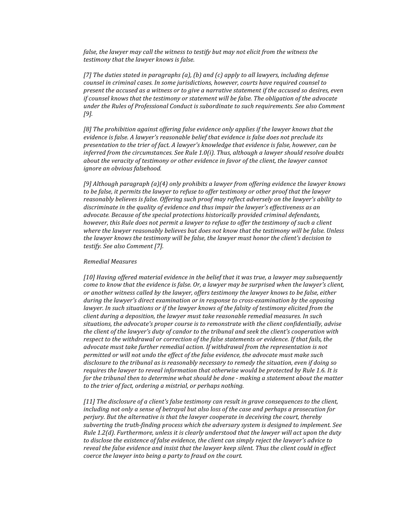*false, the lawyer may call the witness to testify but may not elicit from the witness the testimony that the lawyer knows is false.*

[7] The duties stated in paragraphs (a), (b) and (c) apply to all lawyers, including defense *counsel in criminal cases. In some jurisdictions, however, courts have required counsel to present the accused as a witness or to give a narrative statement if the accused so desires, even if* counsel knows that the testimony or statement will be false. The obligation of the advocate under the Rules of Professional Conduct is subordinate to such requirements. See also Comment *[9].*

[8] The prohibition against offering false evidence only applies if the lawyer knows that the *evidence is false.* A lawyer's reasonable belief that evidence is false does not preclude its *presentation to the trier of fact. A lawyer's knowledge that evidence is false, however, can be* inferred from the circumstances. See Rule 1.0(i). Thus, although a lawyer should resolve doubts about the veracity of testimony or other evidence in favor of the client, the lawyer cannot *ignore an obvious falsehood.* 

[9] Although paragraph (a)(4) only prohibits a lawyer from offering evidence the lawyer knows to be false, it permits the lawyer to refuse to offer testimony or other proof that the lawyer reasonably believes is false. Offering such proof may reflect adversely on the lawyer's ability to discriminate in the quality of evidence and thus impair the lawyer's effectiveness as an *advocate. Because of the special protections historically provided criminal defendants,* however, this Rule does not permit a lawyer to refuse to offer the testimony of such a client where the lawyer reasonably believes but does not know that the testimony will be false. Unless the lawyer knows the testimony will be false, the lawyer must honor the client's decision to *testify.* See also Comment [7].

### *Remedial Measures*

[10] Having offered material evidence in the belief that it was true, a lawyer may subsequently *come to know that the evidence is false. Or, a lawyer may be surprised when the lawyer's client,* or another witness called by the lawyer, offers testimony the lawyer knows to be false, either *during* the lawyer's direct examination or in response to cross-examination by the opposing *lawyer.* In such situations or if the lawyer knows of the falsity of testimony elicited from the *client during a deposition, the lawyer must take reasonable remedial measures. In such* situations, the advocate's proper course is to remonstrate with the client confidentially, advise the client of the lawyer's duty of candor to the tribunal and seek the client's cooperation with respect to the withdrawal or correction of the false statements or evidence. If that fails, the advocate must take further remedial action. If withdrawal from the representation is not *permitted* or will not undo the effect of the false evidence, the advocate must make such disclosure to the tribunal as is reasonably necessary to remedy the situation, even if doing so requires the lawyer to reveal information that otherwise would be protected by Rule 1.6. It is *for* the tribunal then to determine what should be done - making a statement about the matter to the trier of fact, ordering a mistrial, or perhaps nothing.

*[11] The disclosure of a client's false testimony can result in grave consequences to the client, including not only a sense of betrayal but also loss of the case and perhaps a prosecution for perjury.* But the alternative is that the lawyer cooperate in deceiving the court, thereby subverting the truth-finding process which the adversary system is designed to implement. See *Rule 1.2(d).* Furthermore, unless it is clearly understood that the lawyer will act upon the duty to disclose the existence of false evidence, the client can simply reject the lawyer's advice to *reveal the false evidence and insist that the lawyer keep silent. Thus the client could in effect coerce the lawyer into being a party to fraud on the court.*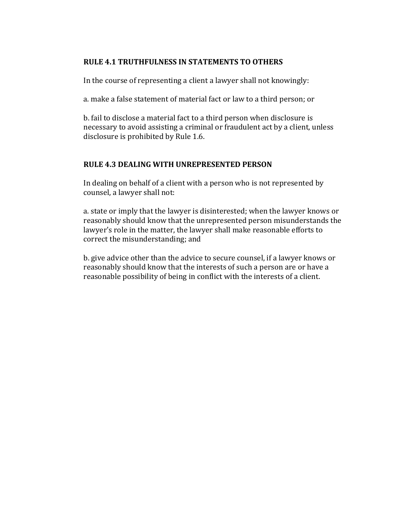# **RULE 4.1 TRUTHFULNESS IN STATEMENTS TO OTHERS**

In the course of representing a client a lawyer shall not knowingly:

a. make a false statement of material fact or law to a third person; or

b. fail to disclose a material fact to a third person when disclosure is necessary to avoid assisting a criminal or fraudulent act by a client, unless disclosure is prohibited by Rule 1.6.

# **RULE 4.3 DEALING WITH UNREPRESENTED PERSON**

In dealing on behalf of a client with a person who is not represented by counsel, a lawyer shall not:

a. state or imply that the lawyer is disinterested; when the lawyer knows or reasonably should know that the unrepresented person misunderstands the lawyer's role in the matter, the lawyer shall make reasonable efforts to correct the misunderstanding; and

b. give advice other than the advice to secure counsel, if a lawyer knows or reasonably should know that the interests of such a person are or have a reasonable possibility of being in conflict with the interests of a client.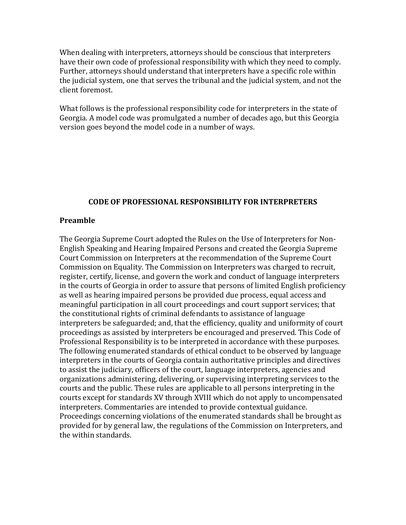When dealing with interpreters, attorneys should be conscious that interpreters have their own code of professional responsibility with which they need to comply. Further, attorneys should understand that interpreters have a specific role within the judicial system, one that serves the tribunal and the judicial system, and not the client foremost.

What follows is the professional responsibility code for interpreters in the state of Georgia. A model code was promulgated a number of decades ago, but this Georgia version goes beyond the model code in a number of ways.

## **CODE OF PROFESSIONAL RESPONSIBILITY FOR INTERPRETERS**

## **Preamble**

The Georgia Supreme Court adopted the Rules on the Use of Interpreters for Non-English Speaking and Hearing Impaired Persons and created the Georgia Supreme Court Commission on Interpreters at the recommendation of the Supreme Court Commission on Equality. The Commission on Interpreters was charged to recruit, register, certify, license, and govern the work and conduct of language interpreters in the courts of Georgia in order to assure that persons of limited English proficiency as well as hearing impaired persons be provided due process, equal access and meaningful participation in all court proceedings and court support services; that the constitutional rights of criminal defendants to assistance of language interpreters be safeguarded; and, that the efficiency, quality and uniformity of court proceedings as assisted by interpreters be encouraged and preserved. This Code of Professional Responsibility is to be interpreted in accordance with these purposes. The following enumerated standards of ethical conduct to be observed by language interpreters in the courts of Georgia contain authoritative principles and directives to assist the judiciary, officers of the court, language interpreters, agencies and organizations administering, delivering, or supervising interpreting services to the courts and the public. These rules are applicable to all persons interpreting in the courts except for standards XV through XVIII which do not apply to uncompensated interpreters. Commentaries are intended to provide contextual guidance. Proceedings concerning violations of the enumerated standards shall be brought as provided for by general law, the regulations of the Commission on Interpreters, and the within standards.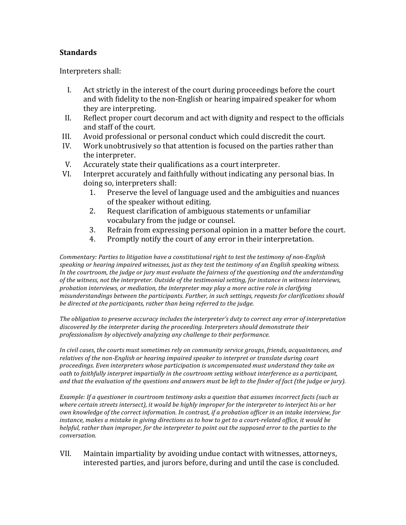# **Standards**

Interpreters shall: 

- I. Act strictly in the interest of the court during proceedings before the court and with fidelity to the non-English or hearing impaired speaker for whom they are interpreting.
- II. Reflect proper court decorum and act with dignity and respect to the officials and staff of the court.
- III. Avoid professional or personal conduct which could discredit the court.
- IV. Work unobtrusively so that attention is focused on the parties rather than the interpreter.
- V. Accurately state their qualifications as a court interpreter.
- VI. Interpret accurately and faithfully without indicating any personal bias. In doing so, interpreters shall:
	- 1. Preserve the level of language used and the ambiguities and nuances of the speaker without editing.
	- 2. Request clarification of ambiguous statements or unfamiliar vocabulary from the judge or counsel.
	- 3. Refrain from expressing personal opinion in a matter before the court.
	- 4. Promptly notify the court of any error in their interpretation.

*Commentary: Parties to litigation have a constitutional right to test the testimony of non-English* speaking or hearing impaired witnesses, just as they test the testimony of an English speaking witness. In the courtroom, the judge or jury must evaluate the fairness of the questioning and the understanding *of* the witness, not the interpreter. Outside of the testimonial setting, for instance in witness interviews, probation interviews, or mediation, the interpreter may play a more active role in clarifying *misunderstandings between the participants. Further, in such settings, requests for clarifications should* be directed at the participants, rather than being referred to the judge.

The *obligation* to preserve accuracy includes the interpreter's duty to correct any error of interpretation discovered by the interpreter during the proceeding. Interpreters should demonstrate their *professionalism by objectively analyzing any challenge to their performance.* 

In civil cases, the courts must sometimes rely on community service groups, friends, acquaintances, and relatives of the non-English or hearing impaired speaker to interpret or translate during court proceedings. Even interpreters whose participation is uncompensated must understand they take an *oath* to faithfully interpret impartially in the courtroom setting without interference as a participant, *and* that the evaluation of the questions and answers must be left to the finder of fact (the judge or jury).

*Example: If a questioner in courtroom testimony asks a question that assumes incorrect facts (such as* where certain streets intersect), it would be highly improper for the interpreter to interject his or her *own* knowledge of the correct information. In contrast, if a probation officer in an intake interview, for *instance, makes a mistake in giving directions as to how to get to a court-related office, it would be helpful, rather than improper, for the interpreter to point out the supposed error to the parties to the conversation.* 

VII. Maintain impartiality by avoiding undue contact with witnesses, attorneys, interested parties, and jurors before, during and until the case is concluded.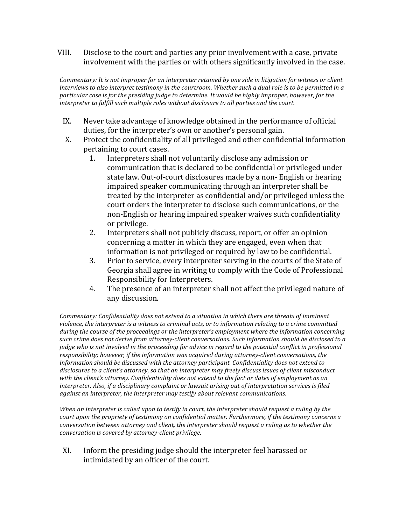VIII. Disclose to the court and parties any prior involvement with a case, private involvement with the parties or with others significantly involved in the case.

*Commentary: It is not improper for an interpreter retained by one side in litigation for witness or client interviews to also interpret testimony in the courtroom. Whether such a dual role is to be permitted in a* particular case is for the presiding judge to determine. It would be highly improper, however, for the *interpreter to fulfill such multiple roles without disclosure to all parties and the court.* 

- IX. Never take advantage of knowledge obtained in the performance of official duties, for the interpreter's own or another's personal gain.
- X. Protect the confidentiality of all privileged and other confidential information pertaining to court cases.
	- 1. Interpreters shall not voluntarily disclose any admission or communication that is declared to be confidential or privileged under state law. Out-of-court disclosures made by a non- English or hearing impaired speaker communicating through an interpreter shall be treated by the interpreter as confidential and/or privileged unless the court orders the interpreter to disclose such communications, or the non-English or hearing impaired speaker waives such confidentiality or privilege.
	- 2. Interpreters shall not publicly discuss, report, or offer an opinion concerning a matter in which they are engaged, even when that information is not privileged or required by law to be confidential.
	- 3. Prior to service, every interpreter serving in the courts of the State of Georgia shall agree in writing to comply with the Code of Professional Responsibility for Interpreters.
	- 4. The presence of an interpreter shall not affect the privileged nature of any discussion.

*Commentary: Confidentiality does not extend to a situation in which there are threats of imminent* violence, the interpreter is a witness to criminal acts, or to information relating to a crime committed *during* the course of the proceedings or the interpreter's employment where the information concerning such crime does not derive from attorney-client conversations. Such information should be disclosed to a *judge* who is not involved in the proceeding for advice in regard to the potential conflict in professional responsibility; however, if the information was acquired during attorney-client conversations, the *information should be discussed with the attorney participant. Confidentiality does not extend to* disclosures to a client's attorney, so that an interpreter may freely discuss issues of client misconduct with the client's attorney. Confidentiality does not extend to the fact or dates of employment as an *interpreter. Also, if a disciplinary complaint or lawsuit arising out of interpretation services is filed* against an interpreter, the interpreter may testify about relevant communications.

*When* an interpreter is called upon to testify in court, the interpreter should request a ruling by the *court upon the propriety of testimony on confidential matter. Furthermore, if the testimony concerns a conversation* between attorney and client, the interpreter should request a ruling as to whether the *conversation is covered by attorney-client privilege.* 

XI. Inform the presiding judge should the interpreter feel harassed or intimidated by an officer of the court.